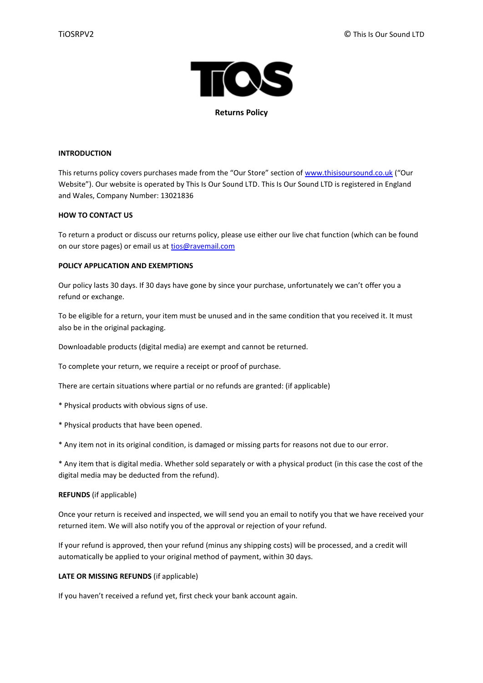

**Returns Policy**

# **INTRODUCTION**

This returns policy covers purchases made from the "Our Store" section of [www.thisisoursound.co.uk](http://www.thisisoursound.co.uk/) ("Our Website"). Our website is operated by This Is Our Sound LTD. This Is Our Sound LTD is registered in England and Wales, Company Number: 13021836

# **HOW TO CONTACT US**

To return a product or discuss our returns policy, please use either our live chat function (which can be found on our store pages) or email us a[t tios@ravemail.com](mailto:tios@ravemail.com)

# **POLICY APPLICATION AND EXEMPTIONS**

Our policy lasts 30 days. If 30 days have gone by since your purchase, unfortunately we can't offer you a refund or exchange.

To be eligible for a return, your item must be unused and in the same condition that you received it. It must also be in the original packaging.

Downloadable products (digital media) are exempt and cannot be returned.

To complete your return, we require a receipt or proof of purchase.

There are certain situations where partial or no refunds are granted: (if applicable)

- \* Physical products with obvious signs of use.
- \* Physical products that have been opened.

\* Any item not in its original condition, is damaged or missing parts for reasons not due to our error.

\* Any item that is digital media. Whether sold separately or with a physical product (in this case the cost of the digital media may be deducted from the refund).

# **REFUNDS** (if applicable)

Once your return is received and inspected, we will send you an email to notify you that we have received your returned item. We will also notify you of the approval or rejection of your refund.

If your refund is approved, then your refund (minus any shipping costs) will be processed, and a credit will automatically be applied to your original method of payment, within 30 days.

# **LATE OR MISSING REFUNDS** (if applicable)

If you haven't received a refund yet, first check your bank account again.